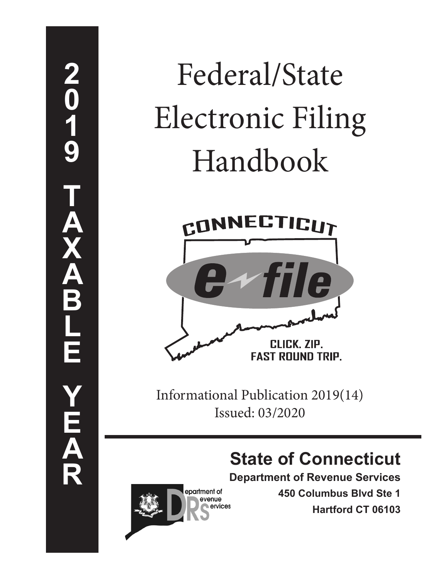# Federal/State Electronic Filing Handbook



Informational Publication 2019(14) Issued: 03/2020

## **State of Connecticut**



**Department of Revenue Services**

**450 Columbus Blvd Ste 1 Hartford CT 06103**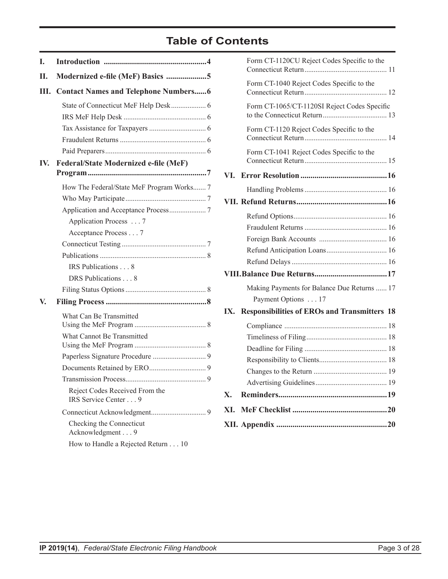## **Table of Contents**

| L   |                                              |
|-----|----------------------------------------------|
| Н.  | Modernized e-file (MeF) Basics 5             |
| Ш.  | <b>Contact Names and Telephone Numbers6</b>  |
|     | State of Connecticut MeF Help Desk 6         |
|     |                                              |
|     |                                              |
|     |                                              |
|     |                                              |
| IV. | <b>Federal/State Modernized e-file (MeF)</b> |
|     |                                              |
|     | How The Federal/State MeF Program Works 7    |
|     |                                              |
|     |                                              |
|     | Application Process 7                        |
|     | Acceptance Process 7                         |
|     |                                              |
|     |                                              |
|     | IRS Publications 8                           |
|     | DRS Publications 8                           |
|     |                                              |
| V.  |                                              |
|     | What Can Be Transmitted                      |
|     |                                              |
|     | What Cannot Be Transmitted                   |
|     |                                              |
|     |                                              |
|     |                                              |
|     | Reject Codes Received From the               |
|     | IRS Service Center 9                         |
|     |                                              |
|     | Checking the Connecticut<br>Acknowledgment 9 |
|     | How to Handle a Rejected Return 10           |

|     | Form CT-1120CU Reject Codes Specific to the         |  |
|-----|-----------------------------------------------------|--|
|     | Form CT-1040 Reject Codes Specific to the           |  |
|     | Form CT-1065/CT-1120SI Reject Codes Specific        |  |
|     | Form CT-1120 Reject Codes Specific to the           |  |
|     | Form CT-1041 Reject Codes Specific to the           |  |
|     |                                                     |  |
|     |                                                     |  |
|     |                                                     |  |
|     |                                                     |  |
|     |                                                     |  |
|     |                                                     |  |
|     | Refund Anticipation Loans 16                        |  |
|     |                                                     |  |
|     |                                                     |  |
|     | Making Payments for Balance Due Returns  17         |  |
|     | Payment Options 17                                  |  |
| IX. | <b>Responsibilities of EROs and Transmitters 18</b> |  |
|     |                                                     |  |
|     |                                                     |  |
|     |                                                     |  |
|     |                                                     |  |
|     |                                                     |  |
|     |                                                     |  |
| X.  |                                                     |  |
| XI. |                                                     |  |
|     |                                                     |  |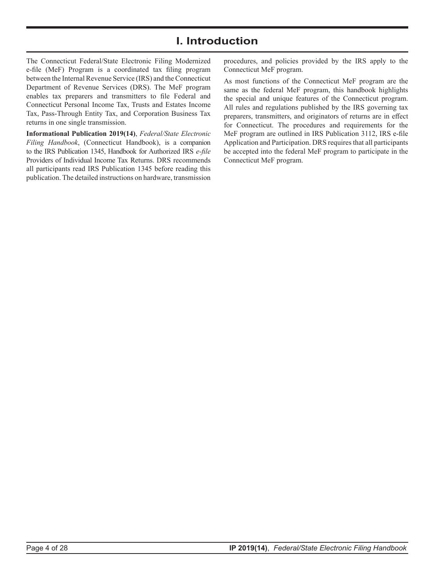## **I. Introduction**

<span id="page-3-0"></span>The Connecticut Federal/State Electronic Filing Modernized e‑file (MeF) Program is a coordinated tax filing program between the Internal Revenue Service (IRS) and the Connecticut Department of Revenue Services (DRS). The MeF program enables tax preparers and transmitters to file Federal and Connecticut Personal Income Tax, Trusts and Estates Income Tax, Pass-Through Entity Tax, and Corporation Business Tax returns in one single transmission.

**Informational Publication 2019(14)**, *Federal/State Electronic Filing Handbook*, (Connecticut Handbook), is a companion to the IRS Publication 1345, Handbook for Authorized IRS *e-file* Providers of Individual Income Tax Returns. DRS recommends all participants read IRS Publication 1345 before reading this publication. The detailed instructions on hardware, transmission

procedures, and policies provided by the IRS apply to the Connecticut MeF program.

As most functions of the Connecticut MeF program are the same as the federal MeF program, this handbook highlights the special and unique features of the Connecticut program. All rules and regulations published by the IRS governing tax preparers, transmitters, and originators of returns are in effect for Connecticut. The procedures and requirements for the MeF program are outlined in IRS Publication 3112, IRS e-file Application and Participation. DRS requires that all participants be accepted into the federal MeF program to participate in the Connecticut MeF program.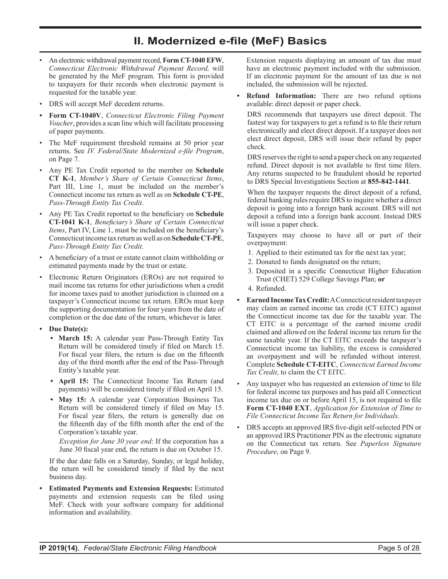## **II. Modernized e‑file (MeF) Basics**

- <span id="page-4-0"></span>• An electronic withdrawal payment record, **Form CT‑1040 EFW**, *Connecticut Electronic Withdrawal Payment Record,* will be generated by the MeF program. This form is provided to taxpayers for their records when electronic payment is requested for the taxable year.
- DRS will accept MeF decedent returns.
- **• Form CT‑1040V**, *Connecticut Electronic Filing Payment Voucher*, provides a scan line which will facilitate processing of paper payments.
- The MeF requirement threshold remains at 50 prior year returns. See *IV. Federal/State Modernized e‑file Program*, on Page 7.
- Any PE Tax Credit reported to the member on **Schedule CT K‑1**, *Member's Share of Certain Connecticut Items*, Part III, Line 1, must be included on the member's Connecticut income tax return as well as on **Schedule CT‑PE**, *Pass‑Through Entity Tax Credit*.
- Any PE Tax Credit reported to the beneficiary on **Schedule CT‑1041 K‑1**, *Beneficiary's Share of Certain Connecticut Items*, Part IV, Line 1, must be included on the beneficiary's Connecticut income tax return as well as on **ScheduleCT‑PE**, *Pass‑Through Entity Tax Credit*.
- A beneficiary of a trust or estate cannot claim withholding or estimated payments made by the trust or estate.
- Electronic Return Originators (EROs) are not required to mail income tax returns for other jurisdictions when a credit for income taxes paid to another jurisdiction is claimed on a taxpayer's Connecticut income tax return. EROs must keep the supporting documentation for four years from the date of completion or the due date of the return, whichever is later.
- **• Due Date(s):**
	- **• March 15:** A calendar year Pass-Through Entity Tax Return will be considered timely if filed on March 15. For fiscal year filers, the return is due on the fifteenth day of the third month after the end of the Pass-Through Entity's taxable year.
	- **• April 15:** The Connecticut Income Tax Return (and payments) will be considered timely if filed on April 15.
	- **• May 15:** A calendar year Corporation Business Tax Return will be considered timely if filed on May 15. For fiscal year filers, the return is generally due on the fifteenth day of the fifth month after the end of the Corporation's taxable year.

*Exception for June 30 year end*: If the corporation has a June 30 fiscal year end, the return is due on October 15.

If the due date falls on a Saturday, Sunday, or legal holiday, the return will be considered timely if filed by the next business day.

**• Estimated Payments and Extension Requests:** Estimated payments and extension requests can be filed using MeF. Check with your software company for additional information and availability.

Extension requests displaying an amount of tax due must have an electronic payment included with the submission. If an electronic payment for the amount of tax due is not included, the submission will be rejected.

**• Refund Information:** There are two refund options available: direct deposit or paper check.

DRS recommends that taxpayers use direct deposit. The fastest way for taxpayers to get a refund is to file their return electronically and elect direct deposit. If a taxpayer does not elect direct deposit, DRS will issue their refund by paper check.

DRS reserves the right to send a paper check on any requested refund. Direct deposit is not available to first time filers. Any returns suspected to be fraudulent should be reported to DRS Special Investigations Section at **855‑842‑1441**.

When the taxpayer requests the direct deposit of a refund, federal banking rules require DRS to inquire whether a direct deposit is going into a foreign bank account. DRS will not deposit a refund into a foreign bank account. Instead DRS will issue a paper check.

Taxpayers may choose to have all or part of their overpayment:

- 1. Applied to their estimated tax for the next tax year;
- 2. Donated to funds designated on the return;
- 3. Deposited in a specific Connecticut Higher Education Trust (CHET) 529 College Savings Plan; **or**
- 4. Refunded.
- **Earned Income Tax Credit:** A Connecticut resident taxpayer may claim an earned income tax credit (CT EITC) against the Connecticut income tax due for the taxable year. The CT EITC is a percentage of the earned income credit claimed and allowed on the federal income tax return for the same taxable year. If the CT EITC exceeds the taxpayer's Connecticut income tax liability, the excess is considered an overpayment and will be refunded without interest. Complete **Schedule CT‑EITC**, *Connecticut Earned Income Tax Credit*, to claim the CT EITC.
- Any taxpayer who has requested an extension of time to file for federal income tax purposes and has paid all Connecticut income tax due on or before April 15, is not required to file **Form CT‑1040 EXT**, *Application for Extension of Time to File Connecticut Income Tax Return for Individuals*.
- DRS accepts an approved IRS five‑digit self-selected PIN or an approved IRS Practitioner PIN as the electronic signature on the Connecticut tax return. See *Paperless Signature Procedure*, on Page 9.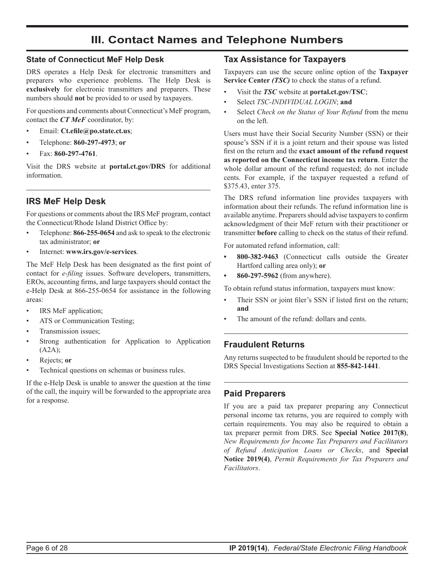## **III. Contact Names and Telephone Numbers**

#### <span id="page-5-0"></span>**State of Connecticut MeF Help Desk**

DRS operates a Help Desk for electronic transmitters and preparers who experience problems. The Help Desk is **exclusively** for electronic transmitters and preparers. These numbers should **not** be provided to or used by taxpayers.

For questions and comments about Connecticut's MeF program, contact the *CT MeF* coordinator, by:

- Email: **[Ct.efile@po.state.ct.us](mailto:Ct.efile%40po.state.ct.us?subject=)**;
- Telephone: **860‑297‑4973**; **or**
- Fax: **860‑297‑4761**.

Visit the DRS website at **[portal.ct.gov/DRS](https://portal.ct.gov/DRS)** for additional information.

#### **IRS MeF Help Desk**

For questions or comments about the IRS MeF program, contact the Connecticut/Rhode Island District Office by:

- Telephone: **866‑255‑0654** and ask to speak to the electronic tax administrator; **or**
- Internet: **[www.irs.gov/e‑services](https://www.irs.gov/e-services)**.

The MeF Help Desk has been designated as the first point of contact for *e-filing* issues. Software developers, transmitters, EROs, accounting firms, and large taxpayers should contact the e-Help Desk at 866-255-0654 for assistance in the following areas:

- IRS MeF application;
- ATS or Communication Testing;
- Transmission issues;
- Strong authentication for Application to Application (A2A);
- Rejects; **or**
- Technical questions on schemas or business rules.

If the e-Help Desk is unable to answer the question at the time of the call, the inquiry will be forwarded to the appropriate area for a response.

#### **Tax Assistance for Taxpayers**

Taxpayers can use the secure online option of the **Taxpayer Service Center** *(TSC)* to check the status of a refund.

- Visit the *TSC* website at **[portal.ct.gov/](https://portal.ct.gov/DRS)TSC**;
- Select *TSC-INDIVIDUAL LOGIN*; **and**
- Select *Check on the Status of Your Refund* from the menu on the left.

Users must have their Social Security Number (SSN) or their spouse's SSN if it is a joint return and their spouse was listed first on the return and the **exact amount of the refund request as reported on the Connecticut income tax return**. Enter the whole dollar amount of the refund requested; do not include cents. For example, if the taxpayer requested a refund of \$375.43, enter 375.

The DRS refund information line provides taxpayers with information about their refunds. The refund information line is available anytime. Preparers should advise taxpayers to confirm acknowledgment of their MeF return with their practitioner or transmitter **before** calling to check on the status of their refund.

For automated refund information, call:

- **• 800‑382‑9463** (Connecticut calls outside the Greater Hartford calling area only); **or**
- **• 860‑297‑5962** (from anywhere).

To obtain refund status information, taxpayers must know:

- Their SSN or joint filer's SSN if listed first on the return; **and**
- The amount of the refund: dollars and cents.

#### **Fraudulent Returns**

Any returns suspected to be fraudulent should be reported to the DRS Special Investigations Section at **855‑842‑1441**.

#### **Paid Preparers**

If you are a paid tax preparer preparing any Connecticut personal income tax returns, you are required to comply with certain requirements. You may also be required to obtain a tax preparer permit from DRS. See **Special Notice 2017(8)**, *New Requirements for Income Tax Preparers and Facilitators of Refund Anticipation Loans or Checks*, and **Special Notice 2019(4)**, *Permit Requirements for Tax Preparers and Facilitators*.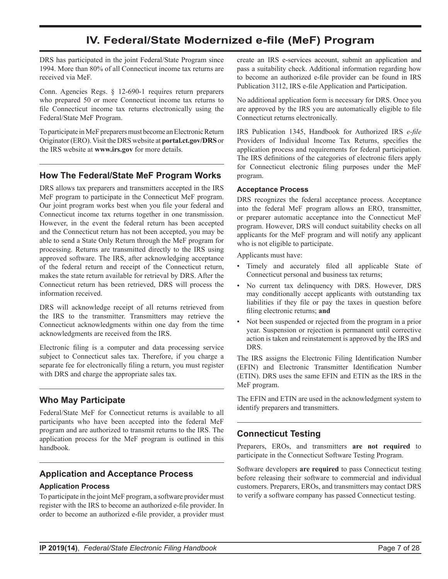## **IV. Federal/State Modernized e-file (MeF) Program**

<span id="page-6-0"></span>DRS has participated in the joint Federal/State Program since 1994. More than 80% of all Connecticut income tax returns are received via MeF.

Conn. Agencies Regs. § 12-690-1 requires return preparers who prepared 50 or more Connecticut income tax returns to file Connecticut income tax returns electronically using the Federal/State MeF Program.

To participate in MeF preparers must become an Electronic Return Originator (ERO). Visit the DRS website at **[portal.ct.gov/DRS](https://portal.ct.gov/DRS)**or the IRS website at **[www.irs.gov](https://www.irs.gov)** for more details.

#### **How The Federal/State MeF Program Works**

DRS allows tax preparers and transmitters accepted in the IRS MeF program to participate in the Connecticut MeF program. Our joint program works best when you file your federal and Connecticut income tax returns together in one transmission. However, in the event the federal return has been accepted and the Connecticut return has not been accepted, you may be able to send a State Only Return through the MeF program for processing. Returns are transmitted directly to the IRS using approved software. The IRS, after acknowledging acceptance of the federal return and receipt of the Connecticut return, makes the state return available for retrieval by DRS. After the Connecticut return has been retrieved, DRS will process the information received.

DRS will acknowledge receipt of all returns retrieved from the IRS to the transmitter. Transmitters may retrieve the Connecticut acknowledgments within one day from the time acknowledgments are received from the IRS.

Electronic filing is a computer and data processing service subject to Connecticut sales tax. Therefore, if you charge a separate fee for electronically filing a return, you must register with DRS and charge the appropriate sales tax.

#### **Who May Participate**

Federal/State MeF for Connecticut returns is available to all participants who have been accepted into the federal MeF program and are authorized to transmit returns to the IRS. The application process for the MeF program is outlined in this handbook.

#### **Application and Acceptance Process**

#### **Application Process**

To participate in the joint MeF program, a software provider must register with the IRS to become an authorized e-file provider. In order to become an authorized e-file provider, a provider must

create an IRS e-services account, submit an application and pass a suitability check. Additional information regarding how to become an authorized e-file provider can be found in IRS Publication 3112, IRS e-file Application and Participation.

No additional application form is necessary for DRS. Once you are approved by the IRS you are automatically eligible to file Connecticut returns electronically.

IRS Publication 1345, Handbook for Authorized IRS *e‑file* Providers of Individual Income Tax Returns, specifies the application process and requirements for federal participation. The IRS definitions of the categories of electronic filers apply for Connecticut electronic filing purposes under the MeF program.

#### **Acceptance Process**

DRS recognizes the federal acceptance process. Acceptance into the federal MeF program allows an ERO, transmitter, or preparer automatic acceptance into the Connecticut MeF program. However, DRS will conduct suitability checks on all applicants for the MeF program and will notify any applicant who is not eligible to participate.

Applicants must have:

- Timely and accurately filed all applicable State of Connecticut personal and business tax returns;
- No current tax delinquency with DRS. However, DRS may conditionally accept applicants with outstanding tax liabilities if they file or pay the taxes in question before filing electronic returns; **and**
- Not been suspended or rejected from the program in a prior year. Suspension or rejection is permanent until corrective action is taken and reinstatement is approved by the IRS and DRS.

The IRS assigns the Electronic Filing Identification Number (EFIN) and Electronic Transmitter Identification Number (ETIN). DRS uses the same EFIN and ETIN as the IRS in the MeF program.

The EFIN and ETIN are used in the acknowledgment system to identify preparers and transmitters.

#### **Connecticut Testing**

Preparers, EROs, and transmitters **are not required** to participate in the Connecticut Software Testing Program.

Software developers **are required** to pass Connecticut testing before releasing their software to commercial and individual customers. Preparers, EROs, and transmitters may contact DRS to verify a software company has passed Connecticut testing.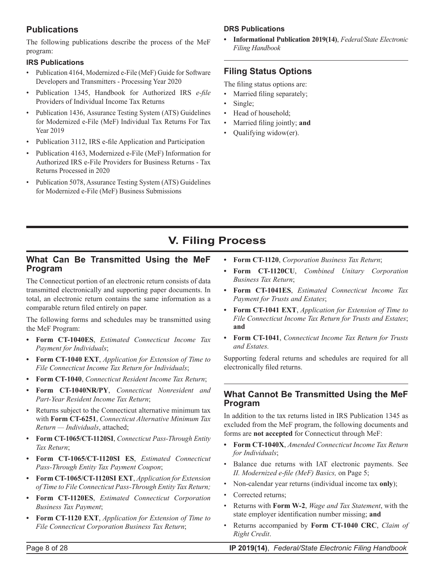#### <span id="page-7-0"></span>**Publications**

The following publications describe the process of the MeF program:

#### **IRS Publications**

- Publication 4164, Modernized e-File (MeF) Guide for Software Developers and Transmitters - Processing Year 2020
- Publication 1345, Handbook for Authorized IRS *e‑file* Providers of Individual Income Tax Returns
- Publication 1436, Assurance Testing System (ATS) Guidelines for Modernized e‑File (MeF) Individual Tax Returns For Tax Year 2019
- Publication 3112, IRS e-file Application and Participation
- Publication 4163, Modernized e‑File (MeF) Information for Authorized IRS e-File Providers for Business Returns - Tax Returns Processed in 2020
- Publication 5078, Assurance Testing System (ATS) Guidelines for Modernized e‑File (MeF) Business Submissions

#### **DRS Publications**

**• Informational Publication 2019(14)**, *Federal/State Electronic Filing Handbook*

#### **Filing Status Options**

The filing status options are:

- Married filing separately;
- Single;
- Head of household;
- Married filing jointly; **and**
- Qualifying widow(er).

## **V. Filing Process**

#### **What Can Be Transmitted Using the MeF Program**

The Connecticut portion of an electronic return consists of data transmitted electronically and supporting paper documents. In total, an electronic return contains the same information as a comparable return filed entirely on paper.

The following forms and schedules may be transmitted using the MeF Program:

- **• Form CT‑1040ES**, *Estimated Connecticut Income Tax Payment for Individuals*;
- **• Form CT‑1040 EXT**, *Application for Extension of Time to File Connecticut Income Tax Return for Individuals*;
- **• Form CT‑1040**, *Connecticut Resident Income Tax Return*;
- **• Form CT‑1040NR/PY**, *Connecticut Nonresident and Part-Year Resident Income Tax Return*;
- Returns subject to the Connecticut alternative minimum tax with **Form CT‑6251**, *Connecticut Alternative Minimum Tax Return — Individuals*, attached;
- **• Form CT‑1065/CT‑1120SI**, *Connecticut Pass-Through Entity Tax Return*;
- **• Form CT‑1065/CT-1120SI ES**, *Estimated Connecticut Pass‑Through Entity Tax Payment Coupon*;
- **• Form CT‑1065/CT‑1120SI EXT**, *Application for Extension of Time to File Connecticut Pass‑Through Entity Tax Return;*
- **• Form CT‑1120ES**, *Estimated Connecticut Corporation Business Tax Payment*;
- **• Form CT‑1120 EXT**, *Application for Extension of Time to File Connecticut Corporation Business Tax Return*;
- **• Form CT‑1120**, *Corporation Business Tax Return*;
- **• Form CT‑1120CU**, *Combined Unitary Corporation Business Tax Return*;
- **• Form CT‑1041ES**, *Estimated Connecticut Income Tax Payment for Trusts and Estates*;
- **• Form CT‑1041 EXT**, *Application for Extension of Time to File Connecticut Income Tax Return for Trusts and Estates*; **and**
- **• Form CT‑1041**, *Connecticut Income Tax Return for Trusts and Estates.*

Supporting federal returns and schedules are required for all electronically filed returns.

#### **What Cannot Be Transmitted Using the MeF Program**

In addition to the tax returns listed in IRS Publication 1345 as excluded from the MeF program, the following documents and forms are **not accepted** for Connecticut through MeF:

- **• Form CT‑1040X**, *Amended Connecticut Income Tax Return for Individuals*;
- Balance due returns with IAT electronic payments. See *II. Modernized e‑file (MeF) Basics,* on Page 5;
- Non‑calendar year returns (individual income tax **only**);
- Corrected returns;
- Returns with **Form W‑2**, *Wage and Tax Statement*, with the state employer identification number missing; **and**
- Returns accompanied by **Form CT‑1040 CRC**, *Claim of Right Credit*.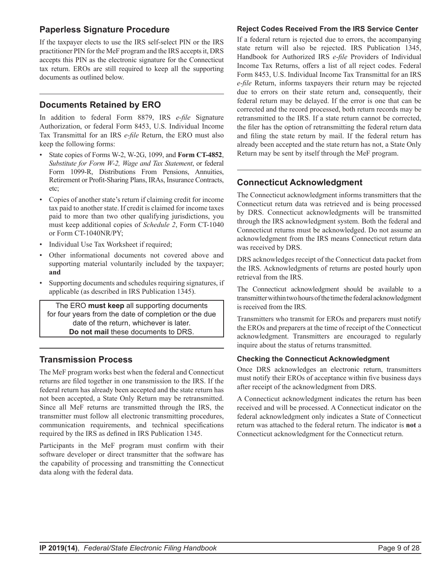#### <span id="page-8-0"></span>**Paperless Signature Procedure**

If the taxpayer elects to use the IRS self‑select PIN or the IRS practitioner PIN for the MeF program and the IRS accepts it, DRS accepts this PIN as the electronic signature for the Connecticut tax return. EROs are still required to keep all the supporting documents as outlined below.

#### **Documents Retained by ERO**

In addition to federal Form 8879, IRS *e-file* Signature Authorization, or federal Form 8453, U.S. Individual Income Tax Transmittal for an IRS *e-file* Return, the ERO must also keep the following forms:

- State copies of Forms W-2, W-2G, 1099, and **Form CT‑4852**, *Substitute for Form W‑2, Wage and Tax Statement*, or federal Form 1099-R, Distributions From Pensions, Annuities, Retirement or Profit‑Sharing Plans, IRAs, Insurance Contracts, etc;
- Copies of another state's return if claiming credit for income tax paid to another state. If credit is claimed for income taxes paid to more than two other qualifying jurisdictions, you must keep additional copies of *Schedule 2*, Form CT-1040 or Form CT‑1040NR/PY;
- Individual Use Tax Worksheet if required;
- Other informational documents not covered above and supporting material voluntarily included by the taxpayer; **and**
- Supporting documents and schedules requiring signatures, if applicable (as described in IRS Publication 1345).

The ERO **must keep** all supporting documents for four years from the date of completion or the due date of the return, whichever is later. **Do not mail** these documents to DRS.

#### **Transmission Process**

The MeF program works best when the federal and Connecticut returns are filed together in one transmission to the IRS. If the federal return has already been accepted and the state return has not been accepted, a State Only Return may be retransmitted. Since all MeF returns are transmitted through the IRS, the transmitter must follow all electronic transmitting procedures, communication requirements, and technical specifications required by the IRS as defined in IRS Publication 1345.

Participants in the MeF program must confirm with their software developer or direct transmitter that the software has the capability of processing and transmitting the Connecticut data along with the federal data.

#### **Reject Codes Received From the IRS Service Center**

If a federal return is rejected due to errors, the accompanying state return will also be rejected. IRS Publication 1345, Handbook for Authorized IRS *e‑file* Providers of Individual Income Tax Returns, offers a list of all reject codes. Federal Form 8453, U.S. Individual Income Tax Transmittal for an IRS *e‑file* Return, informs taxpayers their return may be rejected due to errors on their state return and, consequently, their federal return may be delayed. If the error is one that can be corrected and the record processed, both return records may be retransmitted to the IRS. If a state return cannot be corrected, the filer has the option of retransmitting the federal return data and filing the state return by mail. If the federal return has already been accepted and the state return has not, a State Only Return may be sent by itself through the MeF program.

#### **Connecticut Acknowledgment**

The Connecticut acknowledgment informs transmitters that the Connecticut return data was retrieved and is being processed by DRS. Connecticut acknowledgments will be transmitted through the IRS acknowledgment system. Both the federal and Connecticut returns must be acknowledged. Do not assume an acknowledgment from the IRS means Connecticut return data was received by DRS.

DRS acknowledges receipt of the Connecticut data packet from the IRS. Acknowledgments of returns are posted hourly upon retrieval from the IRS.

The Connecticut acknowledgment should be available to a transmitter within two hours of the time the federal acknowledgment is received from the IRS.

Transmitters who transmit for EROs and preparers must notify the EROs and preparers at the time of receipt of the Connecticut acknowledgment. Transmitters are encouraged to regularly inquire about the status of returns transmitted.

#### **Checking the Connecticut Acknowledgment**

Once DRS acknowledges an electronic return, transmitters must notify their EROs of acceptance within five business days after receipt of the acknowledgment from DRS.

A Connecticut acknowledgment indicates the return has been received and will be processed. A Connecticut indicator on the federal acknowledgment only indicates a State of Connecticut return was attached to the federal return. The indicator is **not** a Connecticut acknowledgment for the Connecticut return.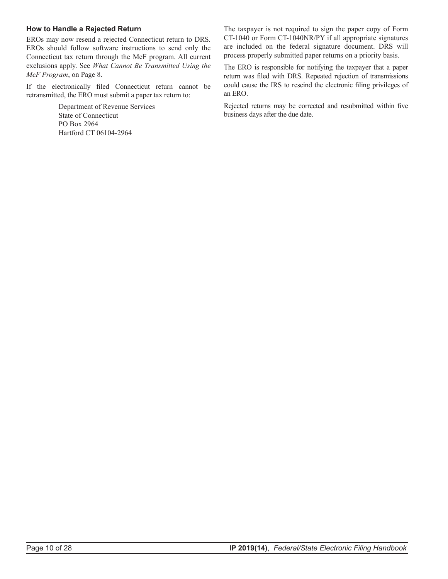#### <span id="page-9-0"></span>**How to Handle a Rejected Return**

EROs may now resend a rejected Connecticut return to DRS. EROs should follow software instructions to send only the Connecticut tax return through the MeF program. All current exclusions apply. See *What Cannot Be Transmitted Using the MeF Program*, on Page 8.

If the electronically filed Connecticut return cannot be retransmitted, the ERO must submit a paper tax return to:

> Department of Revenue Services State of Connecticut PO Box 2964 Hartford CT 06104-2964

The taxpayer is not required to sign the paper copy of Form CT-1040 or Form CT-1040NR/PY if all appropriate signatures are included on the federal signature document. DRS will process properly submitted paper returns on a priority basis.

The ERO is responsible for notifying the taxpayer that a paper return was filed with DRS. Repeated rejection of transmissions could cause the IRS to rescind the electronic filing privileges of an ERO.

Rejected returns may be corrected and resubmitted within five business days after the due date.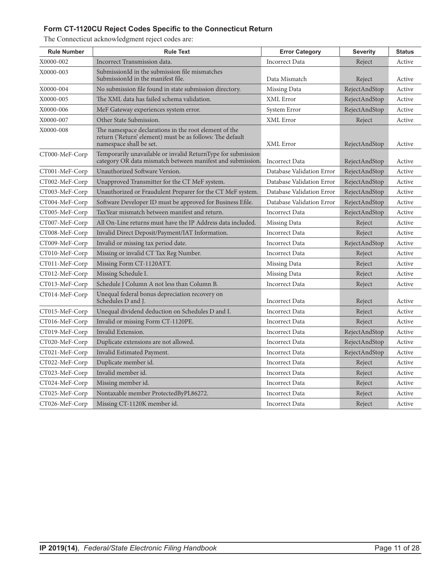#### <span id="page-10-0"></span>**Form CT-1120CU Reject Codes Specific to the Connecticut Return**

| <b>Rule Number</b>                                    | <b>Rule Text</b>                                                                                                                              | <b>Error Category</b>     | <b>Severity</b> | <b>Status</b> |
|-------------------------------------------------------|-----------------------------------------------------------------------------------------------------------------------------------------------|---------------------------|-----------------|---------------|
| X0000-002                                             | Incorrect Transmission data.                                                                                                                  | <b>Incorrect Data</b>     | Reject          | Active        |
| X0000-003                                             | SubmissionId in the submission file mismatches<br>SubmissionId in the manifest file.                                                          | Data Mismatch             | Reject          | Active        |
| X0000-004                                             | No submission file found in state submission directory.                                                                                       | Missing Data              | RejectAndStop   | Active        |
| X0000-005                                             | The XML data has failed schema validation.                                                                                                    | XML Error                 | RejectAndStop   | Active        |
| X0000-006                                             | MeF Gateway experiences system error.                                                                                                         | System Error              | RejectAndStop   | Active        |
| X0000-007                                             | Other State Submission.                                                                                                                       | XML Error                 | Reject          | Active        |
| X0000-008                                             | The namespace declarations in the root element of the<br>return ('Return' element) must be as follows: The default<br>namespace shall be set. | XML Error                 | RejectAndStop   | Active        |
| CT000-MeF-Corp                                        | RejectAndStop                                                                                                                                 | Active                    |                 |               |
| CT001-MeF-Corp                                        | Unauthorized Software Version.                                                                                                                | Database Validation Error | RejectAndStop   | Active        |
| CT002-MeF-Corp                                        | Unapproved Transmitter for the CT MeF system.                                                                                                 | Database Validation Error | RejectAndStop   | Active        |
| CT003-MeF-Corp                                        | Unauthorized or Fraudulent Preparer for the CT MeF system.                                                                                    | Database Validation Error | RejectAndStop   | Active        |
| CT004-MeF-Corp                                        | Software Developer ID must be approved for Business Efile.                                                                                    | Database Validation Error | RejectAndStop   | Active        |
| CT005-MeF-Corp                                        | TaxYear mismatch between manifest and return.                                                                                                 | <b>Incorrect Data</b>     | RejectAndStop   | Active        |
| CT007-MeF-Corp                                        | All On-Line returns must have the IP Address data included.                                                                                   | Missing Data              | Reject          | Active        |
| CT008-MeF-Corp                                        | Invalid Direct Deposit/Payment/IAT Information.                                                                                               |                           | Reject          | Active        |
| CT009-MeF-Corp<br>Invalid or missing tax period date. |                                                                                                                                               | <b>Incorrect Data</b>     | RejectAndStop   | Active        |
| CT010-MeF-Corp                                        | Missing or invalid CT Tax Reg Number.                                                                                                         | <b>Incorrect Data</b>     | Reject          | Active        |
| CT011-MeF-Corp                                        | Missing Form CT-1120ATT.                                                                                                                      | Missing Data              | Reject          | Active        |
| CT012-MeF-Corp                                        | Missing Schedule I.                                                                                                                           | Missing Data              | Reject          | Active        |
| CT013-MeF-Corp                                        | Schedule J Column A not less than Column B.                                                                                                   | <b>Incorrect Data</b>     | Reject          | Active        |
| CT014-MeF-Corp                                        | Unequal federal bonus depreciation recovery on<br>Schedules D and J.                                                                          | Incorrect Data            | Reject          | Active        |
| CT015-MeF-Corp                                        | Unequal dividend deduction on Schedules D and I.                                                                                              | <b>Incorrect Data</b>     | Reject          | Active        |
| CT016-MeF-Corp                                        | Invalid or missing Form CT-1120PE.                                                                                                            | <b>Incorrect Data</b>     | Reject          | Active        |
| CT019-MeF-Corp                                        | Invalid Extension.                                                                                                                            | <b>Incorrect Data</b>     | RejectAndStop   | Active        |
| CT020-MeF-Corp                                        | Duplicate extensions are not allowed.                                                                                                         | <b>Incorrect Data</b>     | RejectAndStop   | Active        |
| CT021-MeF-Corp                                        | Invalid Estimated Payment.                                                                                                                    | <b>Incorrect Data</b>     | RejectAndStop   | Active        |
| CT022-MeF-Corp                                        | Duplicate member id.                                                                                                                          | <b>Incorrect Data</b>     | Reject          | Active        |
| CT023-MeF-Corp                                        | Invalid member id.                                                                                                                            | <b>Incorrect Data</b>     | Reject          | Active        |
| CT024-MeF-Corp                                        | Missing member id.                                                                                                                            | <b>Incorrect Data</b>     | Reject          | Active        |
| CT025-MeF-Corp                                        | Nontaxable member ProtectedByPL86272.                                                                                                         | Incorrect Data            | Reject          | Active        |
| CT026-MeF-Corp                                        | Missing CT-1120K member id.                                                                                                                   | Incorrect Data            | Reject          | Active        |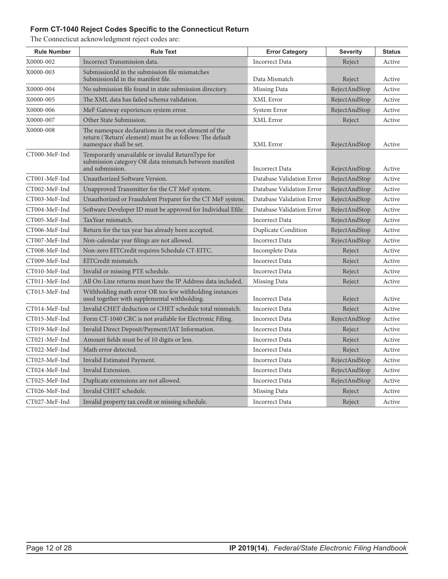#### <span id="page-11-0"></span>**Form CT-1040 Reject Codes Specific to the Connecticut Return**

| <b>Rule Number</b> | <b>Rule Text</b>                                                                                                                              | <b>Error Category</b>      | <b>Severity</b> | <b>Status</b> |
|--------------------|-----------------------------------------------------------------------------------------------------------------------------------------------|----------------------------|-----------------|---------------|
| X0000-002          | Incorrect Transmission data.                                                                                                                  | <b>Incorrect Data</b>      | Reject          | Active        |
| X0000-003          | SubmissionId in the submission file mismatches<br>SubmissionId in the manifest file.                                                          | Data Mismatch              | Reject          | Active        |
| X0000-004          | No submission file found in state submission directory.                                                                                       | Missing Data               | RejectAndStop   | Active        |
| X0000-005          | The XML data has failed schema validation.                                                                                                    | XML Error                  | RejectAndStop   | Active        |
| X0000-006          | MeF Gateway experiences system error.                                                                                                         | System Error               | RejectAndStop   | Active        |
| X0000-007          | Other State Submission.                                                                                                                       | XML Error                  | Reject          | Active        |
| X0000-008          | The namespace declarations in the root element of the<br>return ('Return' element) must be as follows: The default<br>namespace shall be set. | XML Error                  | RejectAndStop   | Active        |
| CT000-MeF-Ind      | Temporarily unavailable or invalid ReturnType for<br>submission category OR data mismatch between manifest<br>and submission.                 | <b>Incorrect Data</b>      | RejectAndStop   | Active        |
| CT001-MeF-Ind      | Unauthorized Software Version.                                                                                                                | Database Validation Error  | RejectAndStop   | Active        |
| CT002-MeF-Ind      | Database Validation Error<br>Unapproved Transmitter for the CT MeF system.<br>RejectAndStop                                                   |                            | Active          |               |
| CT003-MeF-Ind      | Unauthorized or Fraudulent Preparer for the CT MeF system.                                                                                    | Database Validation Error  | RejectAndStop   | Active        |
| CT004-MeF-Ind      | Software Developer ID must be approved for Individual Efile.                                                                                  | Database Validation Error  | RejectAndStop   | Active        |
| CT005-MeF-Ind      | TaxYear mismatch.                                                                                                                             | <b>Incorrect Data</b>      | RejectAndStop   | Active        |
| CT006-MeF-Ind      | Return for the tax year has already been accepted.                                                                                            | <b>Duplicate Condition</b> | RejectAndStop   | Active        |
| CT007-MeF-Ind      | Non-calendar year filings are not allowed.                                                                                                    | <b>Incorrect Data</b>      | RejectAndStop   | Active        |
| CT008-MeF-Ind      | Non-zero EITCredit requires Schedule CT-EITC.                                                                                                 | Incomplete Data            | Reject          | Active        |
| CT009-MeF-Ind      | EITCredit mismatch.                                                                                                                           | <b>Incorrect Data</b>      | Reject          | Active        |
| CT010-MeF-Ind      | Invalid or missing PTE schedule.                                                                                                              | <b>Incorrect Data</b>      | Reject          | Active        |
| CT011-MeF-Ind      | All On-Line returns must have the IP Address data included.                                                                                   | Missing Data               | Reject          | Active        |
| CT013-MeF-Ind      | Withholding math error OR too few withholding instances<br>used together with supplemental withholding.                                       | <b>Incorrect Data</b>      | Reject          | Active        |
| CT014-MeF-Ind      | Invalid CHET deduction or CHET schedule total mismatch.                                                                                       | <b>Incorrect Data</b>      | Reject          | Active        |
| CT015-MeF-Ind      | Form CT-1040 CRC is not available for Electronic Filing.                                                                                      | <b>Incorrect Data</b>      | RejectAndStop   | Active        |
| CT019-MeF-Ind      | Invalid Direct Deposit/Payment/IAT Information.                                                                                               | <b>Incorrect Data</b>      | Reject          | Active        |
| CT021-MeF-Ind      | Amount fields must be of 10 digits or less.                                                                                                   | <b>Incorrect Data</b>      | Reject          | Active        |
| CT022-MeF-Ind      | Math error detected.                                                                                                                          | <b>Incorrect Data</b>      | Reject          | Active        |
| CT023-MeF-Ind      | Invalid Estimated Payment.                                                                                                                    | <b>Incorrect Data</b>      | RejectAndStop   | Active        |
| CT024-MeF-Ind      | Invalid Extension.                                                                                                                            | <b>Incorrect Data</b>      | RejectAndStop   | Active        |
| CT025-MeF-Ind      | Duplicate extensions are not allowed.                                                                                                         | <b>Incorrect Data</b>      | RejectAndStop   | Active        |
| CT026-MeF-Ind      | Invalid CHET schedule.                                                                                                                        | Missing Data               | Reject          | Active        |
| CT027-MeF-Ind      | Invalid property tax credit or missing schedule.                                                                                              | <b>Incorrect Data</b>      | Reject          | Active        |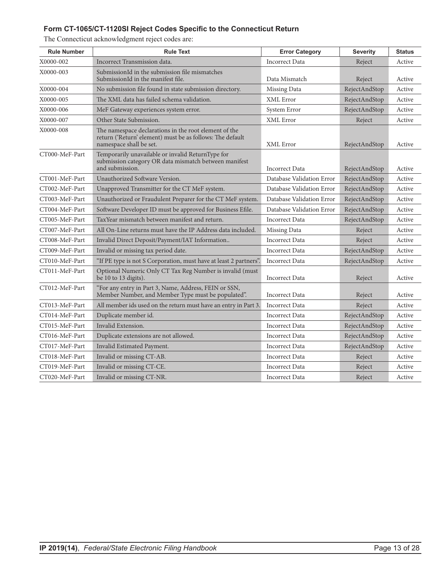#### <span id="page-12-0"></span>**Form CT-1065/CT-1120SI Reject Codes Specific to the Connecticut Return**

| <b>Rule Number</b> | <b>Rule Text</b>                                                                                                                              | <b>Error Category</b>     | <b>Severity</b> | <b>Status</b> |
|--------------------|-----------------------------------------------------------------------------------------------------------------------------------------------|---------------------------|-----------------|---------------|
| X0000-002          | Incorrect Transmission data.                                                                                                                  | <b>Incorrect Data</b>     | Reject          | Active        |
| X0000-003          | SubmissionId in the submission file mismatches<br>SubmissionId in the manifest file.                                                          | Data Mismatch             | Reject          | Active        |
| X0000-004          | No submission file found in state submission directory.                                                                                       | Missing Data              | RejectAndStop   | Active        |
| X0000-005          | The XML data has failed schema validation.                                                                                                    | <b>XML</b> Error          |                 | Active        |
|                    |                                                                                                                                               |                           | RejectAndStop   |               |
| X0000-006          | MeF Gateway experiences system error.                                                                                                         | System Error              | RejectAndStop   | Active        |
| X0000-007          | Other State Submission.                                                                                                                       | XML Error                 | Reject          | Active        |
| X0000-008          | The namespace declarations in the root element of the<br>return ('Return' element) must be as follows: The default<br>namespace shall be set. | XML Error                 | RejectAndStop   | Active        |
| CT000-MeF-Part     | Temporarily unavailable or invalid ReturnType for<br>submission category OR data mismatch between manifest<br>and submission.                 | <b>Incorrect Data</b>     | RejectAndStop   | Active        |
| CT001-MeF-Part     | Unauthorized Software Version.                                                                                                                | Database Validation Error | RejectAndStop   | Active        |
| CT002-MeF-Part     | Unapproved Transmitter for the CT MeF system.                                                                                                 | Database Validation Error | RejectAndStop   | Active        |
| CT003-MeF-Part     | Unauthorized or Fraudulent Preparer for the CT MeF system.                                                                                    | Database Validation Error | RejectAndStop   | Active        |
| CT004-MeF-Part     | Database Validation Error<br>Software Developer ID must be approved for Business Efile.                                                       |                           | RejectAndStop   | Active        |
| CT005-MeF-Part     | TaxYear mismatch between manifest and return.                                                                                                 | <b>Incorrect Data</b>     | RejectAndStop   | Active        |
| CT007-MeF-Part     | All On-Line returns must have the IP Address data included.                                                                                   | Missing Data              | Reject          | Active        |
| CT008-MeF-Part     | Invalid Direct Deposit/Payment/IAT Information                                                                                                | <b>Incorrect Data</b>     | Reject          | Active        |
| CT009-MeF-Part     | Invalid or missing tax period date.                                                                                                           | <b>Incorrect Data</b>     | RejectAndStop   | Active        |
| CT010-MeF-Part     | "If PE type is not S Corporation, must have at least 2 partners".                                                                             | Incorrect Data            | RejectAndStop   | Active        |
| CT011-MeF-Part     | Optional Numeric Only CT Tax Reg Number is invalid (must<br>be 10 to 13 digits).                                                              | <b>Incorrect Data</b>     | Reject          | Active        |
| CT012-MeF-Part     | "For any entry in Part 3, Name, Address, FEIN or SSN,<br>Member Number, and Member Type must be populated".                                   | <b>Incorrect Data</b>     | Reject          | Active        |
| CT013-MeF-Part     | All member ids used on the return must have an entry in Part 3.                                                                               | <b>Incorrect Data</b>     | Reject          | Active        |
| CT014-MeF-Part     | Duplicate member id.                                                                                                                          | <b>Incorrect Data</b>     | RejectAndStop   | Active        |
| CT015-MeF-Part     | Invalid Extension.                                                                                                                            | <b>Incorrect Data</b>     | RejectAndStop   | Active        |
| CT016-MeF-Part     | Duplicate extensions are not allowed.                                                                                                         | <b>Incorrect Data</b>     | RejectAndStop   | Active        |
| CT017-MeF-Part     | Invalid Estimated Payment.                                                                                                                    | <b>Incorrect Data</b>     | RejectAndStop   | Active        |
| CT018-MeF-Part     | Invalid or missing CT-AB.                                                                                                                     | <b>Incorrect Data</b>     | Reject          | Active        |
| CT019-MeF-Part     | Invalid or missing CT-CE.                                                                                                                     | <b>Incorrect Data</b>     | Reject          | Active        |
| CT020-MeF-Part     | Invalid or missing CT-NR.                                                                                                                     | <b>Incorrect Data</b>     | Reject          | Active        |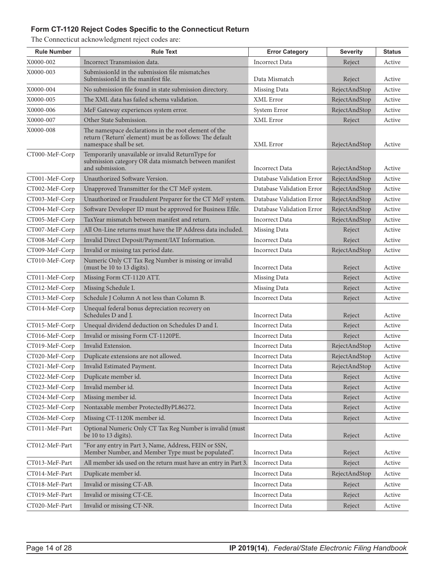#### <span id="page-13-0"></span>**Form CT-1120 Reject Codes Specific to the Connecticut Return**

| <b>Rule Number</b> | <b>Rule Text</b>                                                                                                                              | <b>Error Category</b>     | <b>Severity</b> | <b>Status</b> |
|--------------------|-----------------------------------------------------------------------------------------------------------------------------------------------|---------------------------|-----------------|---------------|
| X0000-002          | Incorrect Transmission data.                                                                                                                  | <b>Incorrect Data</b>     | Reject          | Active        |
| X0000-003          | SubmissionId in the submission file mismatches<br>SubmissionId in the manifest file.                                                          | Data Mismatch             | Reject          | Active        |
| X0000-004          | No submission file found in state submission directory.                                                                                       | Missing Data              | RejectAndStop   | Active        |
| X0000-005          | The XML data has failed schema validation.                                                                                                    | XML Error                 | RejectAndStop   | Active        |
| X0000-006          | MeF Gateway experiences system error.                                                                                                         | System Error              | RejectAndStop   | Active        |
| X0000-007          | Other State Submission.                                                                                                                       | XML Error                 | Reject          | Active        |
| X0000-008          | The namespace declarations in the root element of the<br>return ('Return' element) must be as follows: The default<br>namespace shall be set. | <b>XML</b> Error          | RejectAndStop   | Active        |
| CT000-MeF-Corp     | Temporarily unavailable or invalid ReturnType for<br>submission category OR data mismatch between manifest<br>and submission.                 | <b>Incorrect Data</b>     | RejectAndStop   | Active        |
| CT001-MeF-Corp     | Unauthorized Software Version.                                                                                                                | Database Validation Error |                 | Active        |
| CT002-MeF-Corp     | Unapproved Transmitter for the CT MeF system.                                                                                                 | Database Validation Error | RejectAndStop   | Active        |
| CT003-MeF-Corp     | Unauthorized or Fraudulent Preparer for the CT MeF system.                                                                                    | Database Validation Error | RejectAndStop   | Active        |
| CT004-MeF-Corp     | Software Developer ID must be approved for Business Efile.                                                                                    | Database Validation Error | RejectAndStop   | Active        |
| CT005-MeF-Corp     | TaxYear mismatch between manifest and return.                                                                                                 | <b>Incorrect Data</b>     | RejectAndStop   | Active        |
| CT007-MeF-Corp     | All On-Line returns must have the IP Address data included.                                                                                   | Missing Data              | Reject          | Active        |
| CT008-MeF-Corp     | Invalid Direct Deposit/Payment/IAT Information.                                                                                               | <b>Incorrect Data</b>     | Reject          | Active        |
| CT009-MeF-Corp     | Invalid or missing tax period date.                                                                                                           | <b>Incorrect Data</b>     | RejectAndStop   | Active        |
| CT010-MeF-Corp     | Numeric Only CT Tax Reg Number is missing or invalid<br>(must be 10 to 13 digits).                                                            | <b>Incorrect Data</b>     | Reject          | Active        |
| CT011-MeF-Corp     | Missing Form CT-1120 ATT.                                                                                                                     | Missing Data              | Reject          | Active        |
| CT012-MeF-Corp     | Missing Schedule I.                                                                                                                           | Missing Data              | Reject          | Active        |
| CT013-MeF-Corp     | Schedule J Column A not less than Column B.                                                                                                   | <b>Incorrect Data</b>     | Reject          | Active        |
| CT014-MeF-Corp     | Unequal federal bonus depreciation recovery on<br>Schedules D and J.                                                                          | <b>Incorrect Data</b>     | Reject          | Active        |
| CT015-MeF-Corp     | Unequal dividend deduction on Schedules D and I.                                                                                              | <b>Incorrect Data</b>     | Reject          | Active        |
| CT016-MeF-Corp     | Invalid or missing Form CT-1120PE.                                                                                                            | <b>Incorrect Data</b>     | Reject          | Active        |
| CT019-MeF-Corp     | Invalid Extension.                                                                                                                            | <b>Incorrect Data</b>     | RejectAndStop   | Active        |
| CT020-MeF-Corp     | Duplicate extensions are not allowed.                                                                                                         | <b>Incorrect Data</b>     | RejectAndStop   | Active        |
| CT021-MeF-Corp     | Invalid Estimated Payment.                                                                                                                    | <b>Incorrect Data</b>     | RejectAndStop   | Active        |
| CT022-MeF-Corp     | Duplicate member id.                                                                                                                          | <b>Incorrect Data</b>     | Reject          | Active        |
| CT023-MeF-Corp     | Invalid member id.                                                                                                                            | Incorrect Data            | Reject          | Active        |
| CT024-MeF-Corp     | Missing member id.                                                                                                                            | <b>Incorrect Data</b>     | Reject          | Active        |
| CT025-MeF-Corp     | Nontaxable member ProtectedByPL86272.                                                                                                         | <b>Incorrect Data</b>     | Reject          | Active        |
| CT026-MeF-Corp     | Missing CT-1120K member id.                                                                                                                   | Incorrect Data            | Reject          | Active        |
| CT011-MeF-Part     | Optional Numeric Only CT Tax Reg Number is invalid (must<br>be 10 to 13 digits).                                                              | Incorrect Data            | Reject          | Active        |
| CT012-MeF-Part     | "For any entry in Part 3, Name, Address, FEIN or SSN,<br>Member Number, and Member Type must be populated".                                   | <b>Incorrect Data</b>     | Reject          | Active        |
| CT013-MeF-Part     | All member ids used on the return must have an entry in Part 3.                                                                               | <b>Incorrect Data</b>     | Reject          | Active        |
| CT014-MeF-Part     | Duplicate member id.                                                                                                                          | Incorrect Data            | RejectAndStop   | Active        |
| CT018-MeF-Part     | Invalid or missing CT-AB.                                                                                                                     | <b>Incorrect Data</b>     | Reject          | Active        |
| CT019-MeF-Part     | Invalid or missing CT-CE.                                                                                                                     | <b>Incorrect Data</b>     | Reject          | Active        |
| CT020-MeF-Part     | Invalid or missing CT-NR.                                                                                                                     | Incorrect Data            | Reject          | Active        |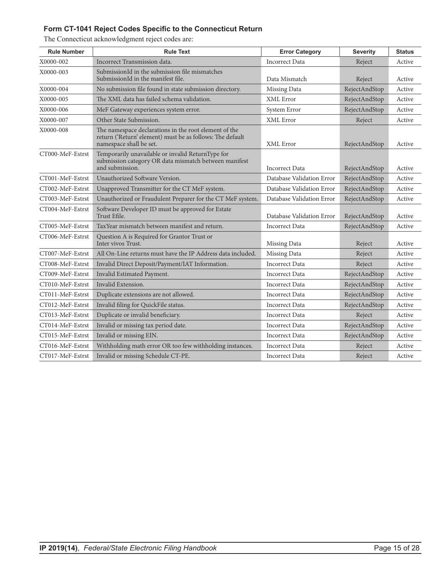#### <span id="page-14-0"></span>**Form CT-1041 Reject Codes Specific to the Connecticut Return**

| <b>Rule Number</b>                                                                    | <b>Rule Text</b>                                                                                                                              | <b>Error Category</b>     | <b>Severity</b> | <b>Status</b> |
|---------------------------------------------------------------------------------------|-----------------------------------------------------------------------------------------------------------------------------------------------|---------------------------|-----------------|---------------|
| X0000-002                                                                             | Incorrect Transmission data.                                                                                                                  | <b>Incorrect Data</b>     | Reject          | Active        |
| X0000-003                                                                             | SubmissionId in the submission file mismatches<br>SubmissionId in the manifest file.                                                          | Data Mismatch             | Reject          | Active        |
| X0000-004                                                                             | No submission file found in state submission directory.                                                                                       | Missing Data              | RejectAndStop   | Active        |
| X0000-005                                                                             | The XML data has failed schema validation.                                                                                                    | XML Error                 | RejectAndStop   | Active        |
| X0000-006                                                                             | MeF Gateway experiences system error.                                                                                                         | System Error              | RejectAndStop   | Active        |
| X0000-007                                                                             | Other State Submission.                                                                                                                       | XML Error                 | Reject          | Active        |
| X0000-008                                                                             | The namespace declarations in the root element of the<br>return ('Return' element) must be as follows: The default<br>namespace shall be set. | <b>XML</b> Error          | RejectAndStop   | Active        |
| CT000-MeF-Estrst                                                                      | Temporarily unavailable or invalid ReturnType for<br>submission category OR data mismatch between manifest<br>and submission.                 | <b>Incorrect Data</b>     | RejectAndStop   | Active        |
| CT001-MeF-Estrst                                                                      | Unauthorized Software Version.                                                                                                                | Database Validation Error | RejectAndStop   | Active        |
| CT002-MeF-Estrst                                                                      | Unapproved Transmitter for the CT MeF system.                                                                                                 |                           | RejectAndStop   | Active        |
| CT003-MeF-Estrst                                                                      | Unauthorized or Fraudulent Preparer for the CT MeF system.                                                                                    | Database Validation Error | RejectAndStop   | Active        |
| CT004-MeF-Estrst                                                                      | Software Developer ID must be approved for Estate<br>Trust Efile.                                                                             | Database Validation Error | RejectAndStop   | Active        |
| CT005-MeF-Estrst                                                                      | TaxYear mismatch between manifest and return.                                                                                                 | <b>Incorrect Data</b>     | RejectAndStop   | Active        |
| CT006-MeF-Estrst<br>Question A is Required for Grantor Trust or<br>Inter vivos Trust. |                                                                                                                                               | Missing Data              | Reject          | Active        |
| CT007-MeF-Estrst                                                                      | All On-Line returns must have the IP Address data included.                                                                                   | Missing Data              | Reject          | Active        |
| CT008-MeF-Estrst                                                                      | Invalid Direct Deposit/Payment/IAT Information.                                                                                               | <b>Incorrect Data</b>     | Reject          | Active        |
| CT009-MeF-Estrst                                                                      | Invalid Estimated Payment.                                                                                                                    | <b>Incorrect Data</b>     | RejectAndStop   | Active        |
| CT010-MeF-Estrst                                                                      | Invalid Extension.                                                                                                                            | <b>Incorrect Data</b>     | RejectAndStop   | Active        |
| CT011-MeF-Estrst                                                                      | Duplicate extensions are not allowed.                                                                                                         | <b>Incorrect Data</b>     | RejectAndStop   | Active        |
| CT012-MeF-Estrst                                                                      | Invalid filing for QuickFile status.                                                                                                          | <b>Incorrect Data</b>     | RejectAndStop   | Active        |
| CT013-MeF-Estrst                                                                      | Duplicate or invalid beneficiary.                                                                                                             | <b>Incorrect Data</b>     | Reject          | Active        |
| CT014-MeF-Estrst                                                                      | Invalid or missing tax period date.                                                                                                           | <b>Incorrect Data</b>     | RejectAndStop   | Active        |
| CT015-MeF-Estrst                                                                      | Invalid or missing EIN.                                                                                                                       | <b>Incorrect Data</b>     | RejectAndStop   | Active        |
| CT016-MeF-Estrst                                                                      | Withholding math error OR too few withholding instances.                                                                                      | <b>Incorrect Data</b>     | Reject          | Active        |
| CT017-MeF-Estrst                                                                      | Invalid or missing Schedule CT-PE.                                                                                                            | <b>Incorrect Data</b>     | Reject          | Active        |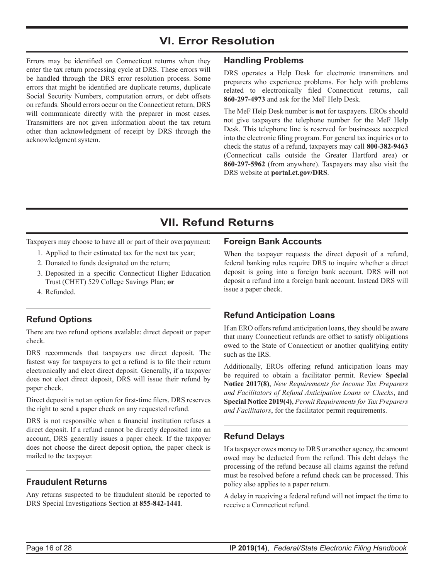## **VI. Error Resolution**

<span id="page-15-0"></span>Errors may be identified on Connecticut returns when they enter the tax return processing cycle at DRS. These errors will be handled through the DRS error resolution process. Some errors that might be identified are duplicate returns, duplicate Social Security Numbers, computation errors, or debt offsets on refunds. Should errors occur on the Connecticut return, DRS will communicate directly with the preparer in most cases. Transmitters are not given information about the tax return other than acknowledgment of receipt by DRS through the acknowledgment system.

#### **Handling Problems**

DRS operates a Help Desk for electronic transmitters and preparers who experience problems. For help with problems related to electronically filed Connecticut returns, call **860‑297‑4973** and ask for the MeF Help Desk.

The MeF Help Desk number is **not** for taxpayers. EROs should not give taxpayers the telephone number for the MeF Help Desk. This telephone line is reserved for businesses accepted into the electronic filing program. For general tax inquiries or to check the status of a refund, taxpayers may call **800‑382‑9463**  (Connecticut calls outside the Greater Hartford area) or **860‑297‑5962** (from anywhere). Taxpayers may also visit the DRS website at **[portal.ct.gov/DRS](https://portal.ct.gov/DRS)**.

## **VII. Refund Returns**

Taxpayers may choose to have all or part of their overpayment:

- 1. Applied to their estimated tax for the next tax year;
- 2. Donated to funds designated on the return;
- 3. Deposited in a specific Connecticut Higher Education Trust (CHET) 529 College Savings Plan; **or**
- 4. Refunded.

#### **Refund Options**

There are two refund options available: direct deposit or paper check.

DRS recommends that taxpayers use direct deposit. The fastest way for taxpayers to get a refund is to file their return electronically and elect direct deposit. Generally, if a taxpayer does not elect direct deposit, DRS will issue their refund by paper check.

Direct deposit is not an option for first-time filers. DRS reserves the right to send a paper check on any requested refund.

DRS is not responsible when a financial institution refuses a direct deposit. If a refund cannot be directly deposited into an account, DRS generally issues a paper check. If the taxpayer does not choose the direct deposit option, the paper check is mailed to the taxpayer.

#### **Fraudulent Returns**

Any returns suspected to be fraudulent should be reported to DRS Special Investigations Section at **855‑842‑1441**.

#### **Foreign Bank Accounts**

When the taxpayer requests the direct deposit of a refund, federal banking rules require DRS to inquire whether a direct deposit is going into a foreign bank account. DRS will not deposit a refund into a foreign bank account. Instead DRS will issue a paper check.

#### **Refund Anticipation Loans**

If an ERO offers refund anticipation loans, they should be aware that many Connecticut refunds are offset to satisfy obligations owed to the State of Connecticut or another qualifying entity such as the IRS.

Additionally, EROs offering refund anticipation loans may be required to obtain a facilitator permit. Review **Special Notice 2017(8)**, *New Requirements for Income Tax Preparers and Facilitators of Refund Anticipation Loans or Checks*, and **Special Notice 2019(4)**, *Permit Requirements for Tax Preparers and Facilitators*, for the facilitator permit requirements.

#### **Refund Delays**

If a taxpayer owes money to DRS or another agency, the amount owed may be deducted from the refund. This debt delays the processing of the refund because all claims against the refund must be resolved before a refund check can be processed. This policy also applies to a paper return.

A delay in receiving a federal refund will not impact the time to receive a Connecticut refund.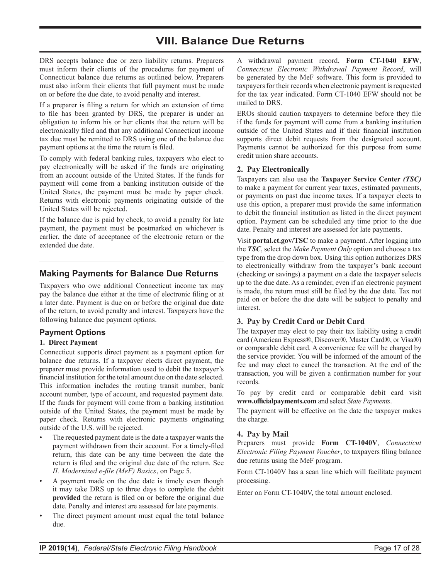## **VIII. Balance Due Returns**

<span id="page-16-0"></span>DRS accepts balance due or zero liability returns. Preparers must inform their clients of the procedures for payment of Connecticut balance due returns as outlined below. Preparers must also inform their clients that full payment must be made on or before the due date, to avoid penalty and interest.

If a preparer is filing a return for which an extension of time to file has been granted by DRS, the preparer is under an obligation to inform his or her clients that the return will be electronically filed and that any additional Connecticut income tax due must be remitted to DRS using one of the balance due payment options at the time the return is filed.

To comply with federal banking rules, taxpayers who elect to pay electronically will be asked if the funds are originating from an account outside of the United States. If the funds for payment will come from a banking institution outside of the United States, the payment must be made by paper check. Returns with electronic payments originating outside of the United States will be rejected.

If the balance due is paid by check, to avoid a penalty for late payment, the payment must be postmarked on whichever is earlier, the date of acceptance of the electronic return or the extended due date.

#### **Making Payments for Balance Due Returns**

Taxpayers who owe additional Connecticut income tax may pay the balance due either at the time of electronic filing or at a later date. Payment is due on or before the original due date of the return, to avoid penalty and interest. Taxpayers have the following balance due payment options.

#### **Payment Options**

#### **1. Direct Payment**

Connecticut supports direct payment as a payment option for balance due returns. If a taxpayer elects direct payment, the preparer must provide information used to debit the taxpayer's financial institution for the total amount due on the date selected. This information includes the routing transit number, bank account number, type of account, and requested payment date. If the funds for payment will come from a banking institution outside of the United States, the payment must be made by paper check. Returns with electronic payments originating outside of the U.S. will be rejected.

- The requested payment date is the date a taxpayer wants the payment withdrawn from their account. For a timely-filed return, this date can be any time between the date the return is filed and the original due date of the return. See *II. Modernized e‑file (MeF) Basics*, on Page 5.
- A payment made on the due date is timely even though it may take DRS up to three days to complete the debit **provided** the return is filed on or before the original due date. Penalty and interest are assessed for late payments.
- The direct payment amount must equal the total balance due.

A withdrawal payment record, **Form CT‑1040 EFW**, *Connecticut Electronic Withdrawal Payment Record*, will be generated by the MeF software. This form is provided to taxpayers for their records when electronic payment is requested for the tax year indicated. Form CT-1040 EFW should not be mailed to DRS.

EROs should caution taxpayers to determine before they file if the funds for payment will come from a banking institution outside of the United States and if their financial institution supports direct debit requests from the designated account. Payments cannot be authorized for this purpose from some credit union share accounts.

#### **2. Pay Electronically**

Taxpayers can also use the **Taxpayer Service Center** *(TSC)* to make a payment for current year taxes, estimated payments, or payments on past due income taxes. If a taxpayer elects to use this option, a preparer must provide the same information to debit the financial institution as listed in the direct payment option. Payment can be scheduled any time prior to the due date. Penalty and interest are assessed for late payments.

Visit **[portal.ct.gov/TSC](https://portal.ct.gov/TSC)** to make a payment. After logging into the *TSC*, select the *Make Payment Only* option and choose a tax type from the drop down box. Using this option authorizes DRS to electronically withdraw from the taxpayer's bank account (checking or savings) a payment on a date the taxpayer selects up to the due date. As a reminder, even if an electronic payment is made, the return must still be filed by the due date. Tax not paid on or before the due date will be subject to penalty and interest.

#### **3. Pay by Credit Card or Debit Card**

The taxpayer may elect to pay their tax liability using a credit card (American Express®, Discover®, Master Card®, or Visa®) or comparable debit card. A convenience fee will be charged by the service provider. You will be informed of the amount of the fee and may elect to cancel the transaction. At the end of the transaction, you will be given a confirmation number for your records.

To pay by credit card or comparable debit card visit **[www.officialpayments.com](https://www.officialpayments.com)** and select *State Payments*.

The payment will be effective on the date the taxpayer makes the charge.

#### **4. Pay by Mail**

Preparers must provide **Form CT‑1040V**, *Connecticut Electronic Filing Payment Voucher*, to taxpayers filing balance due returns using the MeF program.

Form CT-1040V has a scan line which will facilitate payment processing.

Enter on Form CT-1040V, the total amount enclosed.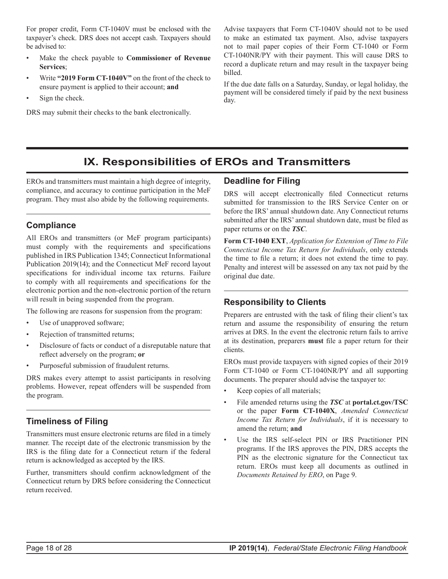<span id="page-17-0"></span>For proper credit, Form CT-1040V must be enclosed with the taxpayer's check. DRS does not accept cash. Taxpayers should be advised to:

- Make the check payable to **Commissioner of Revenue Services**;
- Write **"2019 Form CT‑1040V"** on the front of the check to ensure payment is applied to their account; **and**
- Sign the check.

DRS may submit their checks to the bank electronically.

Advise taxpayers that Form CT-1040V should not to be used to make an estimated tax payment. Also, advise taxpayers not to mail paper copies of their Form CT-1040 or Form CT-1040NR/PY with their payment. This will cause DRS to record a duplicate return and may result in the taxpayer being billed.

If the due date falls on a Saturday, Sunday, or legal holiday, the payment will be considered timely if paid by the next business day.

## **IX. Responsibilities of EROs and Transmitters**

EROs and transmitters must maintain a high degree of integrity, compliance, and accuracy to continue participation in the MeF program. They must also abide by the following requirements.

#### **Compliance**

All EROs and transmitters (or MeF program participants) must comply with the requirements and specifications published in IRS Publication 1345; Connecticut Informational Publication 2019(14); and the Connecticut MeF record layout specifications for individual income tax returns. Failure to comply with all requirements and specifications for the electronic portion and the non-electronic portion of the return will result in being suspended from the program.

The following are reasons for suspension from the program:

- Use of unapproved software;
- Rejection of transmitted returns;
- Disclosure of facts or conduct of a disreputable nature that reflect adversely on the program; **or**
- Purposeful submission of fraudulent returns.

DRS makes every attempt to assist participants in resolving problems. However, repeat offenders will be suspended from the program.

#### **Timeliness of Filing**

Transmitters must ensure electronic returns are filed in a timely manner. The receipt date of the electronic transmission by the IRS is the filing date for a Connecticut return if the federal return is acknowledged as accepted by the IRS.

Further, transmitters should confirm acknowledgment of the Connecticut return by DRS before considering the Connecticut return received.

#### **Deadline for Filing**

DRS will accept electronically filed Connecticut returns submitted for transmission to the IRS Service Center on or before the IRS' annual shutdown date. Any Connecticut returns submitted after the IRS' annual shutdown date, must be filed as paper returns or on the *TSC*.

**Form CT‑1040 EXT**, *Application for Extension of Time to File Connecticut Income Tax Return for Individuals*, only extends the time to file a return; it does not extend the time to pay. Penalty and interest will be assessed on any tax not paid by the original due date.

#### **Responsibility to Clients**

Preparers are entrusted with the task of filing their client's tax return and assume the responsibility of ensuring the return arrives at DRS. In the event the electronic return fails to arrive at its destination, preparers **must** file a paper return for their clients.

EROs must provide taxpayers with signed copies of their 2019 Form CT-1040 or Form CT-1040NR/PY and all supporting documents. The preparer should advise the taxpayer to:

- Keep copies of all materials;
- File amended returns using the *TSC* at **[portal.ct.gov/TSC](https://portal.ct.gov/TSC)** or the paper **Form CT‑1040X**, *Amended Connecticut Income Tax Return for Individuals*, if it is necessary to amend the return; **and**
- Use the IRS self-select PIN or IRS Practitioner PIN programs. If the IRS approves the PIN, DRS accepts the PIN as the electronic signature for the Connecticut tax return. EROs must keep all documents as outlined in *Documents Retained by ERO*, on Page 9.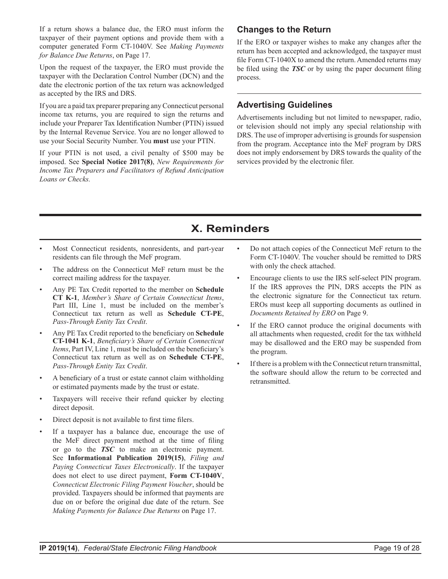<span id="page-18-0"></span>If a return shows a balance due, the ERO must inform the taxpayer of their payment options and provide them with a computer generated Form CT-1040V. See *Making Payments for Balance Due Returns*, on Page 17.

Upon the request of the taxpayer, the ERO must provide the taxpayer with the Declaration Control Number (DCN) and the date the electronic portion of the tax return was acknowledged as accepted by the IRS and DRS.

If you are a paid tax preparer preparing any Connecticut personal income tax returns, you are required to sign the returns and include your Preparer Tax Identification Number (PTIN) issued by the Internal Revenue Service. You are no longer allowed to use your Social Security Number. You **must** use your PTIN.

If your PTIN is not used, a civil penalty of \$500 may be imposed. See **Special Notice 2017(8)**, *New Requirements for Income Tax Preparers and Facilitators of Refund Anticipation Loans or Checks.*

#### **Changes to the Return**

If the ERO or taxpayer wishes to make any changes after the return has been accepted and acknowledged, the taxpayer must file Form CT-1040X to amend the return. Amended returns may be filed using the *TSC* or by using the paper document filing process.

#### **Advertising Guidelines**

Advertisements including but not limited to newspaper, radio, or television should not imply any special relationship with DRS. The use of improper advertising is grounds for suspension from the program. Acceptance into the MeF program by DRS does not imply endorsement by DRS towards the quality of the services provided by the electronic filer.

## **X. Reminders**

- Most Connecticut residents, nonresidents, and part-year residents can file through the MeF program.
- The address on the Connecticut MeF return must be the correct mailing address for the taxpayer.
- Any PE Tax Credit reported to the member on **Schedule CT K‑1**, *Member's Share of Certain Connecticut Items*, Part III, Line 1, must be included on the member's Connecticut tax return as well as **Schedule CT‑PE**, *Pass‑Through Entity Tax Credit*.
- Any PE Tax Credit reported to the beneficiary on **Schedule CT‑1041 K‑1**, *Beneficiary's Share of Certain Connecticut Items*, Part IV, Line 1, must be included on the beneficiary's Connecticut tax return as well as on **Schedule CT‑PE**, *Pass‑Through Entity Tax Credit*.
- A beneficiary of a trust or estate cannot claim withholding or estimated payments made by the trust or estate.
- Taxpayers will receive their refund quicker by electing direct deposit.
- Direct deposit is not available to first time filers.
- If a taxpayer has a balance due, encourage the use of the MeF direct payment method at the time of filing or go to the *TSC* to make an electronic payment. See **Informational Publication 2019(15)**, *Filing and Paying Connecticut Taxes Electronically*. If the taxpayer does not elect to use direct payment, **Form CT-1040V**, *Connecticut Electronic Filing Payment Voucher*, should be provided. Taxpayers should be informed that payments are due on or before the original due date of the return. See *Making Payments for Balance Due Returns* on Page 17.
- Do not attach copies of the Connecticut MeF return to the Form CT-1040V. The voucher should be remitted to DRS with only the check attached.
- Encourage clients to use the IRS self-select PIN program. If the IRS approves the PIN, DRS accepts the PIN as the electronic signature for the Connecticut tax return. EROs must keep all supporting documents as outlined in *Documents Retained by ERO* on Page 9.
- If the ERO cannot produce the original documents with all attachments when requested, credit for the tax withheld may be disallowed and the ERO may be suspended from the program.
- If there is a problem with the Connecticut return transmittal, the software should allow the return to be corrected and retransmitted.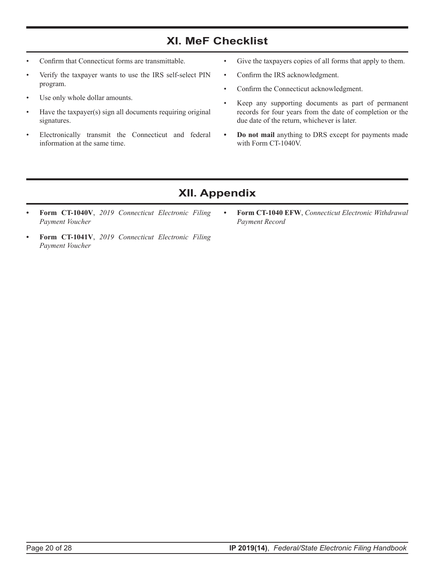## **XI. MeF Checklist**

- <span id="page-19-0"></span>• Confirm that Connecticut forms are transmittable.
- Verify the taxpayer wants to use the IRS self-select PIN program.
- Use only whole dollar amounts.
- Have the taxpayer(s) sign all documents requiring original signatures.
- Electronically transmit the Connecticut and federal information at the same time.
- Give the taxpayers copies of all forms that apply to them.
- Confirm the IRS acknowledgment.
- Confirm the Connecticut acknowledgment.
- Keep any supporting documents as part of permanent records for four years from the date of completion or the due date of the return, whichever is later.
- **• Do not mail** anything to DRS except for payments made with Form CT-1040V.

## **XII. Appendix**

- **• Form CT‑1040V**, *2019 Connecticut Electronic Filing Payment Voucher*
- **• Form CT-1041V**, *2019 Connecticut Electronic Filing Payment Voucher*
- **• Form CT‑1040 EFW**, *Connecticut Electronic Withdrawal Payment Record*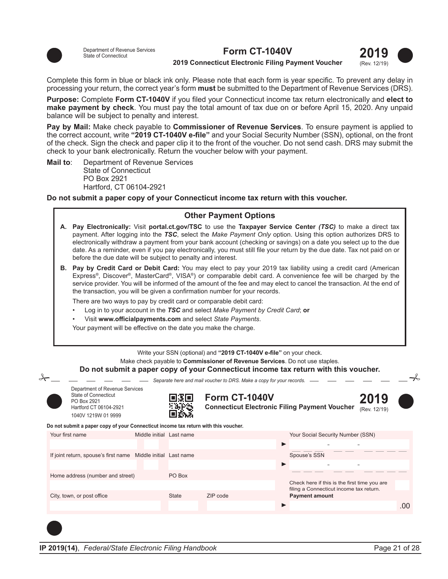

Department of Revenue Services<br>State of Connecticut

**Form CT-1040V** 



**2019 Connecticut Electronic Filing Payment Voucher**

Complete this form in blue or black ink only. Please note that each form is year specific. To prevent any delay in processing your return, the correct year's form **must** be submitted to the Department of Revenue Services (DRS).

**Purpose:** Complete **Form CT‑1040V** if you filed your Connecticut income tax return electronically and **elect to make payment by check**. You must pay the total amount of tax due on or before April 15, 2020. Any unpaid balance will be subject to penalty and interest.

**Pay by Mail:** Make check payable to **Commissioner of Revenue Services**. To ensure payment is applied to the correct account, write **"2019 CT‑1040V e‑file"** and your Social Security Number (SSN), optional, on the front of the check. Sign the check and paper clip it to the front of the voucher. Do not send cash. DRS may submit the check to your bank electronically. Return the voucher below with your payment.

**Mail to**: Department of Revenue Services State of Connecticut PO Box 2921 Hartford, CT 06104-2921

**Do not submit a paper copy of your Connecticut income tax return with this voucher.**

#### **Other Payment Options**

- **A. Pay Electronically:** Visit **portal.ct.gov/TSC** to use the **Taxpayer Service Center** *(TSC)* to make a direct tax payment. After logging into the *TSC*, select the *Make Payment Only* option. Using this option authorizes DRS to electronically withdraw a payment from your bank account (checking or savings) on a date you select up to the due date. As a reminder, even if you pay electronically, you must still file your return by the due date. Tax not paid on or before the due date will be subject to penalty and interest.
- **B. Pay by Credit Card or Debit Card:** You may elect to pay your 2019 tax liability using a credit card (American Express®, Discover®, MasterCard®, VISA®) or comparable debit card. A convenience fee will be charged by the service provider. You will be informed of the amount of the fee and may elect to cancel the transaction. At the end of the transaction, you will be given a confirmation number for your records.

There are two ways to pay by credit card or comparable debit card:

- Log in to your account in the *TSC* and select *Make Payment by Credit Card*; **or**
- Visit **www.officialpayments.com** and select *State Payments*.

Your payment will be effective on the date you make the charge.

Write your SSN (optional) and **"2019 CT‑1040V e‑file"** on your check.

Make check payable to **Commissioner of Revenue Services**. Do not use staples.

**Do not submit a paper copy of your Connecticut income tax return with this voucher.**

|                                                                                                                        |                          |                     | Separate here and mail voucher to DRS. Make a copy for your records.  |                                                                                         |                      |     |
|------------------------------------------------------------------------------------------------------------------------|--------------------------|---------------------|-----------------------------------------------------------------------|-----------------------------------------------------------------------------------------|----------------------|-----|
| Department of Revenue Services<br>State of Connecticut<br>PO Box 2921<br>Hartford CT 06104-2921<br>1040V 1219W 01 9999 |                          | 口楽回<br>ኝ እንድያ<br>m. | Form CT-1040V<br><b>Connecticut Electronic Filing Payment Voucher</b> |                                                                                         | 2019<br>(Rev. 12/19) |     |
| Do not submit a paper copy of your Connecticut income tax return with this voucher.                                    |                          |                     |                                                                       |                                                                                         |                      |     |
| Your first name                                                                                                        | Middle initial Last name |                     |                                                                       | Your Social Security Number (SSN)                                                       |                      |     |
|                                                                                                                        |                          |                     |                                                                       |                                                                                         |                      |     |
| If joint return, spouse's first name                                                                                   | Middle initial Last name |                     |                                                                       | Spouse's SSN                                                                            |                      |     |
|                                                                                                                        |                          |                     |                                                                       |                                                                                         |                      |     |
| Home address (number and street)                                                                                       |                          | PO Box              |                                                                       |                                                                                         |                      |     |
|                                                                                                                        |                          |                     |                                                                       | Check here if this is the first time you are<br>filing a Connecticut income tax return. |                      |     |
| City, town, or post office                                                                                             |                          | <b>State</b>        | ZIP code                                                              | <b>Payment amount</b>                                                                   |                      |     |
|                                                                                                                        |                          |                     |                                                                       |                                                                                         |                      | .00 |
|                                                                                                                        |                          |                     |                                                                       |                                                                                         |                      |     |

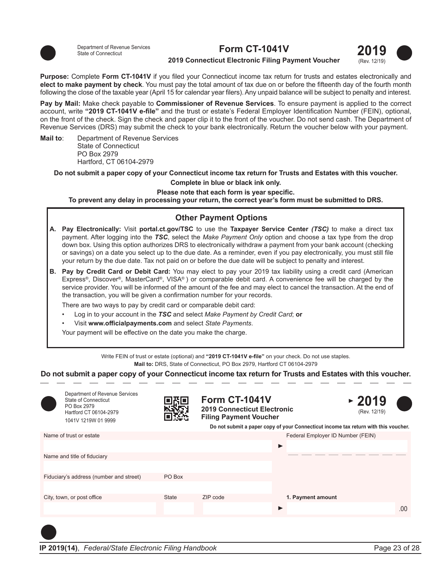

Department of Revenue Services<br>State of Connecticut

#### **Form CT-1041V**



**2019 Connecticut Electronic Filing Payment Voucher**

Purpose: Complete Form CT-1041V if you filed your Connecticut income tax return for trusts and estates electronically and **elect to make payment by check**. You must pay the total amount of tax due on or before the fifteenth day of the fourth month following the close of the taxable year (April 15 for calendar year filers). Any unpaid balance will be subject to penalty and interest.

**Pay by Mail:** Make check payable to **Commissioner of Revenue Services**. To ensure payment is applied to the correct account, write **"2019 CT‑1041V e‑file"** and the trust or estate's Federal Employer Identification Number (FEIN), optional, on the front of the check. Sign the check and paper clip it to the front of the voucher. Do not send cash. The Department of Revenue Services (DRS) may submit the check to your bank electronically. Return the voucher below with your payment.

**Mail to**: Department of Revenue Services State of Connecticut PO Box 2979 Hartford, CT 06104-2979

**Do not submit a paper copy of your Connecticut income tax return for Trusts and Estates with this voucher. Complete in blue or black ink only.**

**Please note that each form is year specific.**

**To prevent any delay in processing your return, the correct year's form must be submitted to DRS.**

#### **Other Payment Options**

- **A. Pay Electronically:** Visit **portal.ct.gov/TSC** to use the **Taxpayer Service Center** *(TSC)* to make a direct tax payment. After logging into the *TSC*, select the *Make Payment Only* option and choose a tax type from the drop down box. Using this option authorizes DRS to electronically withdraw a payment from your bank account (checking or savings) on a date you select up to the due date. As a reminder, even if you pay electronically, you must still file your return by the due date. Tax not paid on or before the due date will be subject to penalty and interest.
- **B. Pay by Credit Card or Debit Card:** You may elect to pay your 2019 tax liability using a credit card (American Express®, Discover®, MasterCard®, VISA® ) or comparable debit card. A convenience fee will be charged by the service provider. You will be informed of the amount of the fee and may elect to cancel the transaction. At the end of the transaction, you will be given a confirmation number for your records.

There are two ways to pay by credit card or comparable debit card:

- Log in to your account in the *TSC* and select *Make Payment by Credit Card*; **or**
- Visit **www.officialpayments.com** and select *State Payments*.

Your payment will be effective on the date you make the charge.

Write FEIN of trust or estate (optional) and **"2019 CT‑1041V e‑file"** on your check. Do not use staples. **Mail to:** DRS, State of Connecticut, PO Box 2979, Hartford CT 06104-2979

**Do not submit a paper copy of your Connecticut income tax return for Trusts and Estates with this voucher.**

| Do not submit a paper copy of your Connecticut income tax return with this voucher. |
|-------------------------------------------------------------------------------------|
|                                                                                     |
|                                                                                     |
|                                                                                     |
|                                                                                     |
|                                                                                     |
|                                                                                     |
|                                                                                     |
|                                                                                     |
| .00.                                                                                |
|                                                                                     |

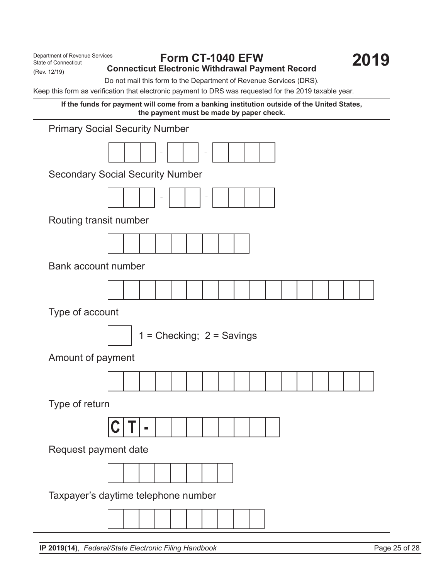Department of Revenue Services State of Connecticut (Rev. 12/19)

#### **Form CT-1040 EFW Connecticut Electronic Withdrawal Payment Record**

Do not mail this form to the Department of Revenue Services (DRS).

Keep this form as verification that electronic payment to DRS was requested for the 2019 taxable year.

**If the funds for payment will come from a banking institution outside of the United States, the payment must be made by paper check.**

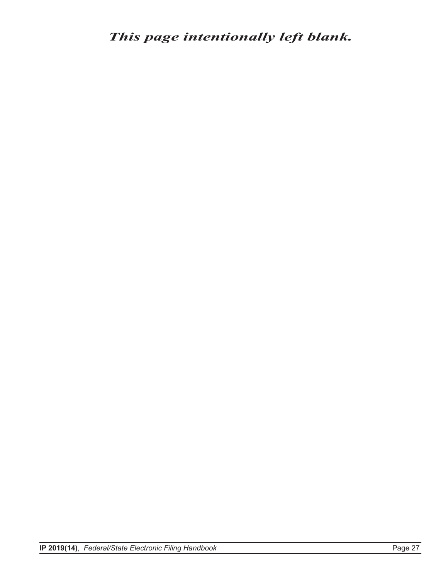**IP 2019(14)**, *Federal/State Electronic Filing Handbook* Page 27